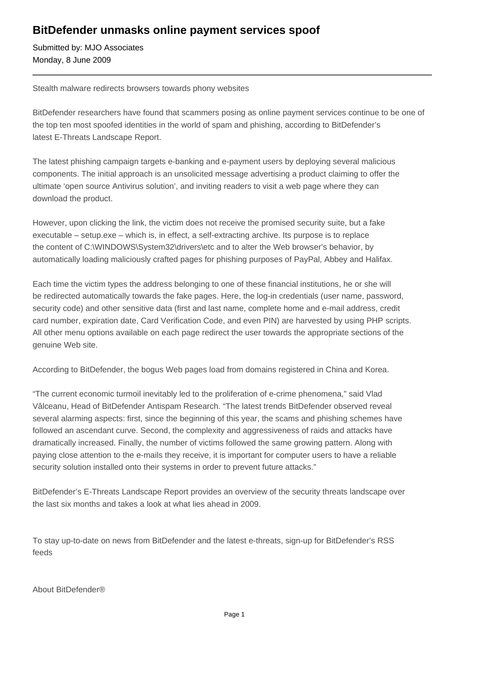## **BitDefender unmasks online payment services spoof**

Submitted by: MJO Associates Monday, 8 June 2009

Stealth malware redirects browsers towards phony websites

BitDefender researchers have found that scammers posing as online payment services continue to be one of the top ten most spoofed identities in the world of spam and phishing, according to BitDefender's latest E-Threats Landscape Report.

The latest phishing campaign targets e-banking and e-payment users by deploying several malicious components. The initial approach is an unsolicited message advertising a product claiming to offer the ultimate 'open source Antivirus solution', and inviting readers to visit a web page where they can download the product.

However, upon clicking the link, the victim does not receive the promised security suite, but a fake executable – setup.exe – which is, in effect, a self-extracting archive. Its purpose is to replace the content of C:\WINDOWS\System32\drivers\etc and to alter the Web browser's behavior, by automatically loading maliciously crafted pages for phishing purposes of PayPal, Abbey and Halifax.

Each time the victim types the address belonging to one of these financial institutions, he or she will be redirected automatically towards the fake pages. Here, the log-in credentials (user name, password, security code) and other sensitive data (first and last name, complete home and e-mail address, credit card number, expiration date, Card Verification Code, and even PIN) are harvested by using PHP scripts. All other menu options available on each page redirect the user towards the appropriate sections of the genuine Web site.

According to BitDefender, the bogus Web pages load from domains registered in China and Korea.

"The current economic turmoil inevitably led to the proliferation of e-crime phenomena," said Vlad Vâlceanu, Head of BitDefender Antispam Research. "The latest trends BitDefender observed reveal several alarming aspects: first, since the beginning of this year, the scams and phishing schemes have followed an ascendant curve. Second, the complexity and aggressiveness of raids and attacks have dramatically increased. Finally, the number of victims followed the same growing pattern. Along with paying close attention to the e-mails they receive, it is important for computer users to have a reliable security solution installed onto their systems in order to prevent future attacks."

BitDefender's E-Threats Landscape Report provides an overview of the security threats landscape over the last six months and takes a look at what lies ahead in 2009.

To stay up-to-date on news from BitDefender and the latest e-threats, sign-up for BitDefender's RSS feeds

About BitDefender®